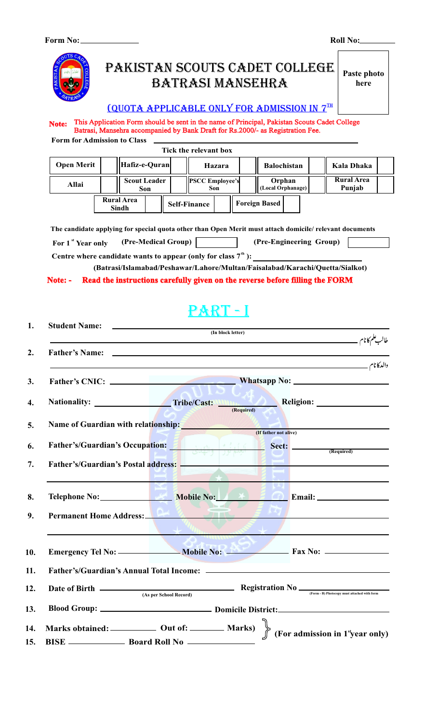**Form No:**

**Roll No:**



# Pakistan scouts cadet college batrasi mansehra

**Paste photo here**

### $1000T$  A applicable only for admission in  $7^{TH}$

**Form for Admission to Class Note:** This Application Form should be sent in the name of Principal, Pakistan Scouts Cadet College Batrasi, Mansehra accompanied by Bank Draft for Rs.2000/- as Registration Fee.

|                   |                            |                            | Tick the relevant box  |        |                             |                             |  |
|-------------------|----------------------------|----------------------------|------------------------|--------|-----------------------------|-----------------------------|--|
| <b>Open Merit</b> | Hafiz-e-Quran              |                            |                        | Hazara | <b>Balochistan</b>          | Kala Dhaka                  |  |
| Allai             |                            | <b>Scout Leader</b><br>Son | <b>PSCC Employee's</b> | Son    | Orphan<br>(Local Orphanage) | <b>Rural</b> Area<br>Punjab |  |
|                   | <b>Rural Area</b><br>Sindh |                            | <b>Self-Finance</b>    |        | <b>Foreign Based</b>        |                             |  |

**The candidate applying for special quota other than Open Merit must attach domicile/ relevant documents**

| For 1 <sup>st</sup> Year only | (Pre-Medical Group) | (Pre-Engineering Group) |  |
|-------------------------------|---------------------|-------------------------|--|
|                               |                     |                         |  |

**Centre where candidate wants to appear (only for class**  $7^{\text{th}}$ **): (Batrasi/Islamabad/Peshawar/Lahore/Multan/Faisalabad/Karachi/Quetta/Sialkot)**

#### **Note: - Read the instructions carefully given on the reverse before filling the FORM**

# $\bigcirc$  RT - I

| <b>Student Name:</b>                                                                                             | <u> The Communication of the Communication</u>                  | (In block letter) |  |
|------------------------------------------------------------------------------------------------------------------|-----------------------------------------------------------------|-------------------|--|
|                                                                                                                  |                                                                 |                   |  |
|                                                                                                                  |                                                                 |                   |  |
| Nationality: Tribe/Cast: New Religion: Religion:                                                                 |                                                                 |                   |  |
| Name of Guardian with relationship: (If father not alive)                                                        |                                                                 |                   |  |
|                                                                                                                  |                                                                 |                   |  |
| Father's/Guardian's Occupation: [1] العِلْمُ نُورٌ   وَالْبُيْدِينَ   [2] Father's/Guardian's Occupation:        |                                                                 |                   |  |
| Father's/Guardian's Postal address:                                                                              |                                                                 |                   |  |
| Telephone No: Mobile No: Mobile No: Fig. Co. Email: _____________________________                                |                                                                 |                   |  |
| Permanent Home Address: PA & STR                                                                                 | $\mathbf{v} \rightarrow \mathbf{v}_{\mathbf{u}_{\text{train}}}$ |                   |  |
|                                                                                                                  |                                                                 |                   |  |
|                                                                                                                  |                                                                 |                   |  |
| Date of Birth $\frac{1}{(1-\cos 2\pi k \cos 2\pi x)}$ Registration No $\frac{1}{(1-\cos 2\pi k \cos 2\pi x)}$    | (As per School Record)                                          |                   |  |
|                                                                                                                  |                                                                 |                   |  |
| Marks obtained: ____________ Out of: _________ Marks) $\left\{\int_{0}^{\infty}$ (For admission in 1 'year only) |                                                                 |                   |  |
|                                                                                                                  |                                                                 |                   |  |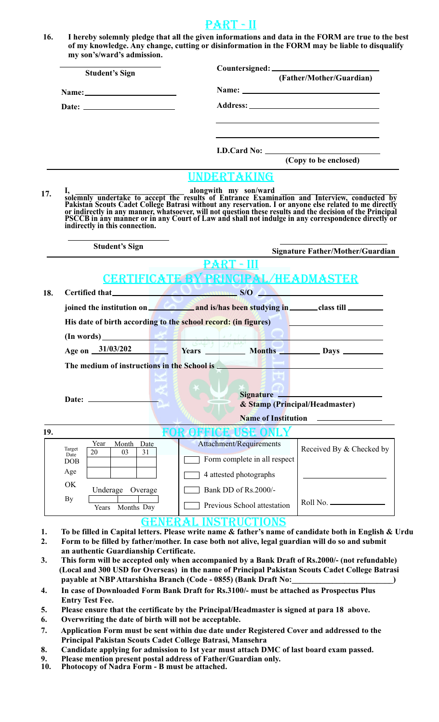### PART - II

**16. I hereby solemnly pledge that all the given informations and data in the FORM are true to the best of my knowledge. Any change, cutting or disinformation in the FORM may be liable to disqualify my son's/ward's admission.**

|     | <b>Student's Sign</b>                                                   | (Father/Mother/Guardian)                                                                                                                                                                                                                               |
|-----|-------------------------------------------------------------------------|--------------------------------------------------------------------------------------------------------------------------------------------------------------------------------------------------------------------------------------------------------|
|     |                                                                         |                                                                                                                                                                                                                                                        |
|     |                                                                         |                                                                                                                                                                                                                                                        |
|     |                                                                         | (Copy to be enclosed)                                                                                                                                                                                                                                  |
|     | indirectly in this connection.                                          | UNDERTAKING<br>I,<br>solemnly undertake to accept the results of Entrance Examination and Interview, conducted by<br>Pakistan Scouts Cadet College Batrasi without any reservation. I or anyone else related to me directly<br>or indirectly in any ma |
|     | <b>Student's Sign</b>                                                   | Signature Father/Mother/Guardian                                                                                                                                                                                                                       |
|     |                                                                         | <u> PART - III</u>                                                                                                                                                                                                                                     |
|     |                                                                         | <b>CERTIFICATE BY PRINCIPAL/HEADMASTER</b>                                                                                                                                                                                                             |
| 18. |                                                                         | Certified that $S/O \sim$ $S/O \sim$                                                                                                                                                                                                                   |
|     |                                                                         | joined the institution on <b>the state of and is/has been studying in ______</b> class till _________                                                                                                                                                  |
|     |                                                                         | His date of birth according to the school record: (in figures)                                                                                                                                                                                         |
|     |                                                                         |                                                                                                                                                                                                                                                        |
|     |                                                                         |                                                                                                                                                                                                                                                        |
|     |                                                                         | Age on 31/03/202 Years Months Days Days                                                                                                                                                                                                                |
|     |                                                                         | The medium of instructions in the School is <b>All and School is</b>                                                                                                                                                                                   |
|     | Date: $\_\_$                                                            | $\blacksquare$ , and the set of $\blacksquare$<br><b>Signature</b><br>& Stamp (Principal/Headmaster)                                                                                                                                                   |
|     |                                                                         | <b>Name of Institution</b>                                                                                                                                                                                                                             |
|     | Year<br>Month<br>Date<br>Target<br>20<br>03<br>31<br>Date<br><b>DOB</b> | USE ONL<br>Attachment/Requirements<br>Form complete in all respect                                                                                                                                                                                     |
|     | Age                                                                     | Received By & Checked by<br>4 attested photographs                                                                                                                                                                                                     |
|     | OK<br>Underage Overage                                                  | Bank DD of Rs.2000/-                                                                                                                                                                                                                                   |
| 19. | By<br>Months Day<br>Years                                               | Roll No.<br>Previous School attestation                                                                                                                                                                                                                |

- **3. This form will be accepted only when accompanied by a Bank Draft of Rs.2000/- (not refundable) (Local and 300 USD for Overseas) in the name of Principal Pakistan Scouts Cadet College Batrasi** payable at NBP Attarshisha Branch (Code - 0855) (Bank Draft No:
- **4. In case of Downloaded Form Bank Draft for Rs.3100/- must be attached as Prospectus Plus Entry Test Fee.**
- **5. Please ensure that the certificate by the Principal/Headmaster is signed at para 18 above.**
- **6. Overwriting the date of birth will not be acceptable.**
- **7. Application Form must be sent within due date under Registered Cover and addressed to the Principal Pakistan Scouts Cadet College Batrasi, Mansehra**
- **8. Candidate applying for admission to 1st year must attach DMC of last board exam passed.**
- **9. Please mention present postal address of Father/Guardian only.**
- **10. Photocopy of Nadra Form B must be attached.**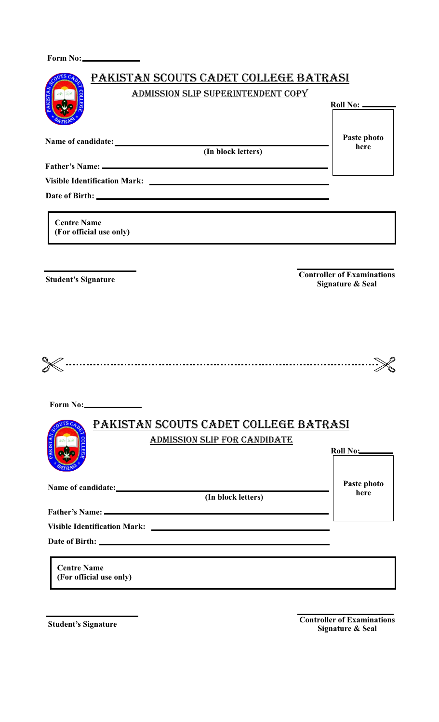**Form No:**

| ADMISSION SLIP SUPERINTENDENT COPY            |                                   |
|-----------------------------------------------|-----------------------------------|
|                                               |                                   |
|                                               | Roll No: _____                    |
|                                               |                                   |
|                                               | Paste photo                       |
| (In block letters)                            | here                              |
|                                               |                                   |
|                                               |                                   |
|                                               |                                   |
|                                               |                                   |
| <b>Centre Name</b>                            |                                   |
| (For official use only)                       |                                   |
|                                               |                                   |
|                                               |                                   |
| <b>Student's Signature</b>                    | <b>Controller of Examinations</b> |
|                                               | <b>Signature &amp; Seal</b>       |
|                                               |                                   |
|                                               |                                   |
|                                               |                                   |
|                                               |                                   |
|                                               |                                   |
|                                               |                                   |
|                                               |                                   |
|                                               |                                   |
| Form No:                                      |                                   |
|                                               |                                   |
| PAKISTAN SCOUTS CADET COLLEGE BATRASI         |                                   |
| ADMISSION SLIP FOR CANDIDATE                  |                                   |
|                                               | Roll No:                          |
|                                               |                                   |
|                                               |                                   |
|                                               | Paste photo<br>here               |
| (In block letters)                            |                                   |
|                                               |                                   |
|                                               |                                   |
|                                               |                                   |
|                                               |                                   |
| <b>Centre Name</b><br>(For official use only) |                                   |

**Student's Signature**

**Controller of Examinations Signature & Seal**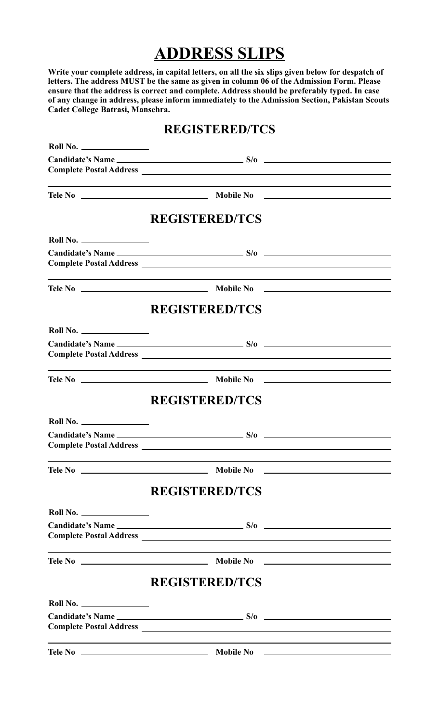# **ADDRESS SLIPS**

**Write your complete address, in capital letters, on all the six slips given below for despatch of letters. The address MUST be the same as given in column 06 of the Admission Form. Please ensure that the address is correct and complete. Address should be preferably typed. In case of any change in address, please inform immediately to the Admission Section, Pakistan Scouts Cadet College Batrasi, Mansehra.**

### **REGISTERED/TCS**

|          | <b>REGISTERED/TCS</b> |                                                                                                                                                                                                                               |
|----------|-----------------------|-------------------------------------------------------------------------------------------------------------------------------------------------------------------------------------------------------------------------------|
|          |                       |                                                                                                                                                                                                                               |
|          |                       |                                                                                                                                                                                                                               |
|          |                       |                                                                                                                                                                                                                               |
|          | <b>REGISTERED/TCS</b> |                                                                                                                                                                                                                               |
| Roll No. |                       |                                                                                                                                                                                                                               |
|          |                       |                                                                                                                                                                                                                               |
|          |                       |                                                                                                                                                                                                                               |
|          | <b>REGISTERED/TCS</b> |                                                                                                                                                                                                                               |
|          |                       |                                                                                                                                                                                                                               |
|          |                       |                                                                                                                                                                                                                               |
|          |                       | <u> 1989 - Andrea Andrew Maria (h. 1989).</u>                                                                                                                                                                                 |
|          | <b>REGISTERED/TCS</b> |                                                                                                                                                                                                                               |
| Roll No. |                       |                                                                                                                                                                                                                               |
|          |                       |                                                                                                                                                                                                                               |
|          |                       | the control of the control of the control of the control of the control of the control of the control of the control of the control of the control of the control of the control of the control of the control of the control |
|          | <b>REGISTERED/TCS</b> |                                                                                                                                                                                                                               |
| Roll No. |                       |                                                                                                                                                                                                                               |
|          |                       |                                                                                                                                                                                                                               |
|          |                       |                                                                                                                                                                                                                               |